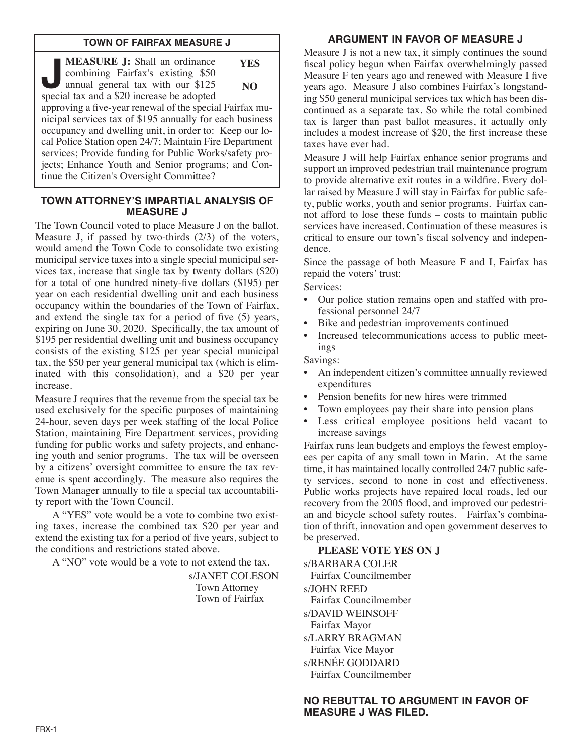## **TOWN OF FAIRFAX MEASURE J**

**J. MEASURE J:** Shall an ordinance<br>combining Fairfax's existing \$50<br>annual general tax with our \$125<br>special tax and a \$20 increase be adopted combining Fairfax's existing \$50 annual general tax with our \$125 special tax and a \$20 increase be adopted **YES**

**NO**

approving a five-year renewal of the special Fairfax municipal services tax of \$195 annually for each business occupancy and dwelling unit, in order to: Keep our local Police Station open 24/7; Maintain Fire Department services; Provide funding for Public Works/safety projects; Enhance Youth and Senior programs; and Continue the Citizen's Oversight Committee?

## **TOWN ATTORNEY'S IMPARTIAL ANALYSIS OF MEASURE J**

The Town Council voted to place Measure J on the ballot. Measure J, if passed by two-thirds (2/3) of the voters, would amend the Town Code to consolidate two existing municipal service taxes into a single special municipal services tax, increase that single tax by twenty dollars (\$20) for a total of one hundred ninety-five dollars (\$195) per year on each residential dwelling unit and each business occupancy within the boundaries of the Town of Fairfax, and extend the single tax for a period of five (5) years, expiring on June 30, 2020. Specifically, the tax amount of \$195 per residential dwelling unit and business occupancy consists of the existing \$125 per year special municipal tax, the \$50 per year general municipal tax (which is eliminated with this consolidation), and a \$20 per year increase.

Measure J requires that the revenue from the special tax be used exclusively for the specific purposes of maintaining 24-hour, seven days per week staffing of the local Police Station, maintaining Fire Department services, providing funding for public works and safety projects, and enhancing youth and senior programs. The tax will be overseen by a citizens' oversight committee to ensure the tax revenue is spent accordingly. The measure also requires the Town Manager annually to file a special tax accountability report with the Town Council.

A "YES" vote would be a vote to combine two existing taxes, increase the combined tax \$20 per year and extend the existing tax for a period of five years, subject to the conditions and restrictions stated above.

A "NO" vote would be a vote to not extend the tax.

s/JANET COLESON Town Attorney Town of Fairfax

## **ARGUMENT IN FAVOR OF MEASURE J**

Measure J is not a new tax, it simply continues the sound fiscal policy begun when Fairfax overwhelmingly passed Measure F ten years ago and renewed with Measure I five years ago. Measure J also combines Fairfax's longstanding \$50 general municipal services tax which has been discontinued as a separate tax. So while the total combined tax is larger than past ballot measures, it actually only includes a modest increase of \$20, the first increase these taxes have ever had.

Measure J will help Fairfax enhance senior programs and support an improved pedestrian trail maintenance program to provide alternative exit routes in a wildfire. Every dollar raised by Measure J will stay in Fairfax for public safety, public works, youth and senior programs. Fairfax cannot afford to lose these funds – costs to maintain public services have increased. Continuation of these measures is critical to ensure our town's fiscal solvency and independence.

Since the passage of both Measure F and I, Fairfax has repaid the voters' trust:

Services:

- Our police station remains open and staffed with professional personnel 24/7
- Bike and pedestrian improvements continued
- Increased telecommunications access to public meetings

Savings:

- An independent citizen's committee annually reviewed expenditures
- Pension benefits for new hires were trimmed
- Town employees pay their share into pension plans
- Less critical employee positions held vacant to increase savings

Fairfax runs lean budgets and employs the fewest employees per capita of any small town in Marin. At the same time, it has maintained locally controlled 24/7 public safety services, second to none in cost and effectiveness. Public works projects have repaired local roads, led our recovery from the 2005 flood, and improved our pedestrian and bicycle school safety routes. Fairfax's combination of thrift, innovation and open government deserves to be preserved.

**PLEASE VOTE YES ON J**

s/BARBARA COLER Fairfax Councilmember s/JOHN REED Fairfax Councilmember s/DAVID WEINSOFF Fairfax Mayor s/LARRY BRAGMAN Fairfax Vice Mayor s/RENÉE GODDARD Fairfax Councilmember

## **NO REBUTTAL TO ARGUMENT IN FAVOR OF MEASURE J WAS FILED.**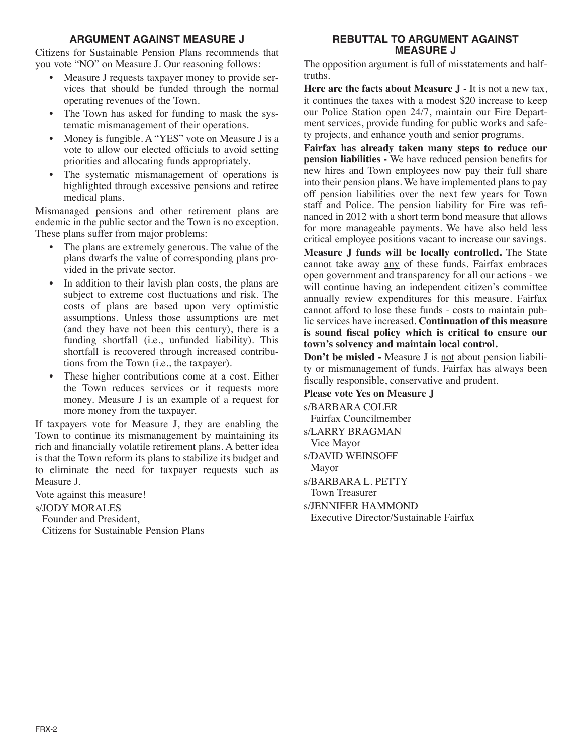## **ARGUMENT AGAINST MEASURE J**

Citizens for Sustainable Pension Plans recommends that you vote "NO" on Measure J. Our reasoning follows:

- Measure J requests taxpayer money to provide services that should be funded through the normal operating revenues of the Town.
- The Town has asked for funding to mask the systematic mismanagement of their operations.
- Money is fungible. A "YES" vote on Measure J is a vote to allow our elected officials to avoid setting priorities and allocating funds appropriately.
- The systematic mismanagement of operations is highlighted through excessive pensions and retiree medical plans.

Mismanaged pensions and other retirement plans are endemic in the public sector and the Town is no exception. These plans suffer from major problems:

- The plans are extremely generous. The value of the plans dwarfs the value of corresponding plans provided in the private sector.
- In addition to their lavish plan costs, the plans are subject to extreme cost fluctuations and risk. The costs of plans are based upon very optimistic assumptions. Unless those assumptions are met (and they have not been this century), there is a funding shortfall (i.e., unfunded liability). This shortfall is recovered through increased contributions from the Town (i.e., the taxpayer).
- These higher contributions come at a cost. Either the Town reduces services or it requests more money. Measure J is an example of a request for more money from the taxpayer.

If taxpayers vote for Measure J, they are enabling the Town to continue its mismanagement by maintaining its rich and financially volatile retirement plans. A better idea is that the Town reform its plans to stabilize its budget and to eliminate the need for taxpayer requests such as Measure J.

Vote against this measure!

### s/JODY MORALES

Founder and President, Citizens for Sustainable Pension Plans

## **REBUTTAL TO ARGUMENT AGAINST MEASURE J**

The opposition argument is full of misstatements and halftruths.

**Here are the facts about Measure J -** It is not a new tax, it continues the taxes with a modest \$20 increase to keep our Police Station open 24/7, maintain our Fire Department services, provide funding for public works and safety projects, and enhance youth and senior programs.

**Fairfax has already taken many steps to reduce our pension liabilities -** We have reduced pension benefits for new hires and Town employees now pay their full share into their pension plans. We have implemented plans to pay off pension liabilities over the next few years for Town staff and Police. The pension liability for Fire was refinanced in 2012 with a short term bond measure that allows for more manageable payments. We have also held less critical employee positions vacant to increase our savings.

**Measure J funds will be locally controlled.** The State cannot take away any of these funds. Fairfax embraces open government and transparency for all our actions - we will continue having an independent citizen's committee annually review expenditures for this measure. Fairfax cannot afford to lose these funds - costs to maintain public services have increased. **Continuation of this measure is sound fiscal policy which is critical to ensure our town's solvency and maintain local control.**

**Don't be misled -** Measure J is not about pension liability or mismanagement of funds. Fairfax has always been fiscally responsible, conservative and prudent.

## **Please vote Yes on Measure J**

s/BARBARA COLER Fairfax Councilmember s/LARRY BRAGMAN Vice Mayor s/DAVID WEINSOFF Mayor s/BARBARA L. PETTY Town Treasurer s/JENNIFER HAMMOND Executive Director/Sustainable Fairfax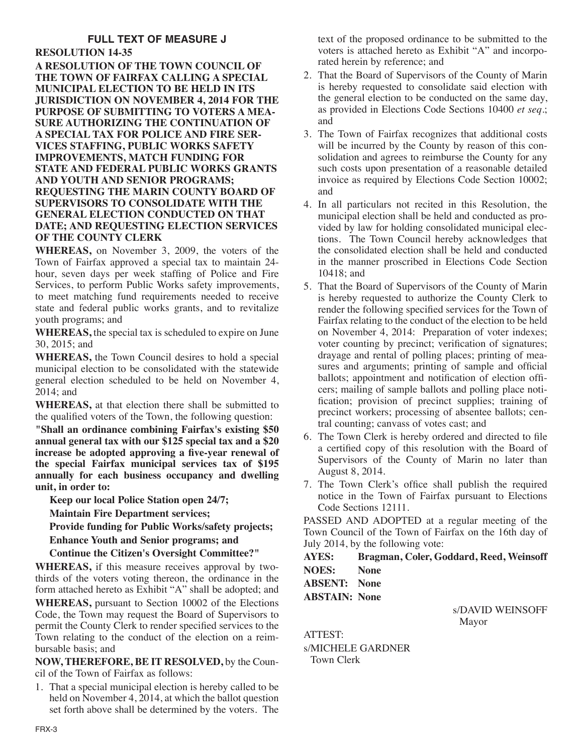# **FULL TEXT OF MEASURE J**

## **RESOLUTION 14-35**

**A RESOLUTION OF THE TOWN COUNCIL OF THE TOWN OF FAIRFAX CALLING A SPECIAL MUNICIPAL ELECTION TO BE HELD IN ITS JURISDICTION ON NOVEMBER 4, 2014 FOR THE PURPOSE OF SUBMITTING TO VOTERS A MEA-SURE AUTHORIZING THE CONTINUATION OF A SPECIAL TAX FOR POLICE AND FIRE SER-VICES STAFFING, PUBLIC WORKS SAFETY IMPROVEMENTS, MATCH FUNDING FOR STATE AND FEDERAL PUBLIC WORKS GRANTS AND YOUTH AND SENIOR PROGRAMS; REQUESTING THE MARIN COUNTY BOARD OF SUPERVISORS TO CONSOLIDATE WITH THE GENERAL ELECTION CONDUCTED ON THAT DATE; AND REQUESTING ELECTION SERVICES OF THE COUNTY CLERK**

**WHEREAS,** on November 3, 2009, the voters of the Town of Fairfax approved a special tax to maintain 24 hour, seven days per week staffing of Police and Fire Services, to perform Public Works safety improvements, to meet matching fund requirements needed to receive state and federal public works grants, and to revitalize youth programs; and

**WHEREAS,** the special tax is scheduled to expire on June 30, 2015; and

**WHEREAS,** the Town Council desires to hold a special municipal election to be consolidated with the statewide general election scheduled to be held on November 4, 2014; and

**WHEREAS,** at that election there shall be submitted to the qualified voters of the Town, the following question:

**"Shall an ordinance combining Fairfax's existing \$50 annual general tax with our \$125 special tax and a \$20 increase be adopted approving a five-year renewal of the special Fairfax municipal services tax of \$195 annually for each business occupancy and dwelling unit, in order to:**

**Keep our local Police Station open 24/7;**

**Maintain Fire Department services;**

**Provide funding for Public Works/safety projects;**

**Enhance Youth and Senior programs; and**

**Continue the Citizen's Oversight Committee?"**

**WHEREAS,** if this measure receives approval by twothirds of the voters voting thereon, the ordinance in the form attached hereto as Exhibit "A" shall be adopted; and **WHEREAS,** pursuant to Section 10002 of the Elections Code, the Town may request the Board of Supervisors to permit the County Clerk to render specified services to the Town relating to the conduct of the election on a reimbursable basis; and

**NOW, THEREFORE, BE IT RESOLVED,** by the Council of the Town of Fairfax as follows:

1. That a special municipal election is hereby called to be held on November 4, 2014, at which the ballot question set forth above shall be determined by the voters. The text of the proposed ordinance to be submitted to the voters is attached hereto as Exhibit "A" and incorporated herein by reference; and

- 2. That the Board of Supervisors of the County of Marin is hereby requested to consolidate said election with the general election to be conducted on the same day, as provided in Elections Code Sections 10400 *et seq*.; and
- 3. The Town of Fairfax recognizes that additional costs will be incurred by the County by reason of this consolidation and agrees to reimburse the County for any such costs upon presentation of a reasonable detailed invoice as required by Elections Code Section 10002; and
- 4. In all particulars not recited in this Resolution, the municipal election shall be held and conducted as provided by law for holding consolidated municipal elections. The Town Council hereby acknowledges that the consolidated election shall be held and conducted in the manner proscribed in Elections Code Section 10418; and
- 5. That the Board of Supervisors of the County of Marin is hereby requested to authorize the County Clerk to render the following specified services for the Town of Fairfax relating to the conduct of the election to be held on November 4, 2014: Preparation of voter indexes; voter counting by precinct; verification of signatures; drayage and rental of polling places; printing of measures and arguments; printing of sample and official ballots; appointment and notification of election officers; mailing of sample ballots and polling place notification; provision of precinct supplies; training of precinct workers; processing of absentee ballots; central counting; canvass of votes cast; and
- 6. The Town Clerk is hereby ordered and directed to file a certified copy of this resolution with the Board of Supervisors of the County of Marin no later than August 8, 2014.
- 7. The Town Clerk's office shall publish the required notice in the Town of Fairfax pursuant to Elections Code Sections 12111.

PASSED AND ADOPTED at a regular meeting of the Town Council of the Town of Fairfax on the 16th day of July 2014, by the following vote:

**AYES: Bragman, Coler, Goddard, Reed, Weinsoff NOES: None**

**ABSENT: None ABSTAIN: None**

> s/DAVID WEINSOFF Mayor

ATTEST: s/MICHELE GARDNER Town Clerk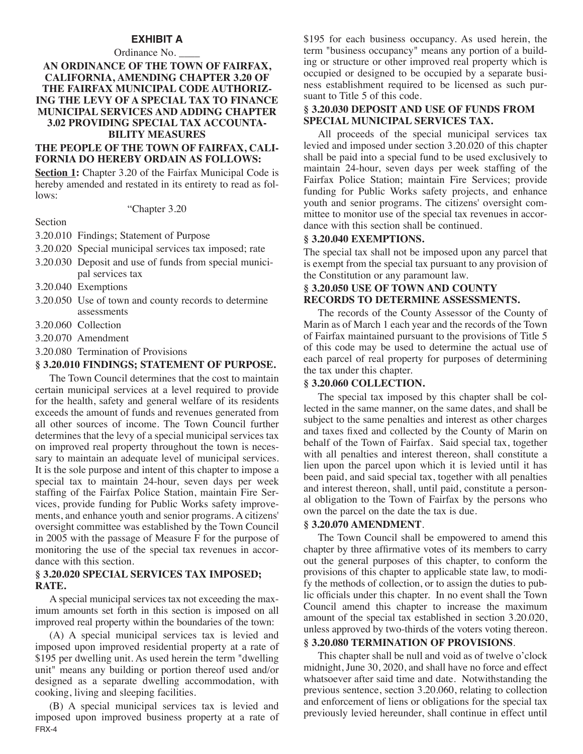### **EXHIBIT A**

## Ordinance No. **AN ORDINANCE OF THE TOWN OF FAIRFAX, CALIFORNIA, AMENDING CHAPTER 3.20 OF THE FAIRFAX MUNICIPAL CODE AUTHORIZ-ING THE LEVY OF A SPECIAL TAX TO FINANCE MUNICIPAL SERVICES AND ADDING CHAPTER 3.02 PROVIDING SPECIAL TAX ACCOUNTA-BILITY MEASURES**

## **THE PEOPLE OF THE TOWN OF FAIRFAX, CALI-FORNIA DO HEREBY ORDAIN AS FOLLOWS:**

**Section 1:** Chapter 3.20 of the Fairfax Municipal Code is hereby amended and restated in its entirety to read as follows:

#### "Chapter 3.20

#### Section

- 3.20.010 Findings; Statement of Purpose
- 3.20.020 Special municipal services tax imposed; rate
- 3.20.030 Deposit and use of funds from special municipal services tax
- 3.20.040 Exemptions
- 3.20.050 Use of town and county records to determine assessments
- 3.20.060 Collection
- 3.20.070 Amendment
- 3.20.080 Termination of Provisions

## **§ 3.20.010 FINDINGS; STATEMENT OF PURPOSE.**

The Town Council determines that the cost to maintain certain municipal services at a level required to provide for the health, safety and general welfare of its residents exceeds the amount of funds and revenues generated from all other sources of income. The Town Council further determines that the levy of a special municipal services tax on improved real property throughout the town is necessary to maintain an adequate level of municipal services. It is the sole purpose and intent of this chapter to impose a special tax to maintain 24-hour, seven days per week staffing of the Fairfax Police Station, maintain Fire Services, provide funding for Public Works safety improvements, and enhance youth and senior programs. A citizens' oversight committee was established by the Town Council in 2005 with the passage of Measure F for the purpose of monitoring the use of the special tax revenues in accordance with this section.

### **§ 3.20.020 SPECIAL SERVICES TAX IMPOSED; RATE.**

A special municipal services tax not exceeding the maximum amounts set forth in this section is imposed on all improved real property within the boundaries of the town:

(A) A special municipal services tax is levied and imposed upon improved residential property at a rate of \$195 per dwelling unit. As used herein the term "dwelling unit" means any building or portion thereof used and/or designed as a separate dwelling accommodation, with cooking, living and sleeping facilities.

(B) A special municipal services tax is levied and imposed upon improved business property at a rate of FRX-4

\$195 for each business occupancy. As used herein, the term "business occupancy" means any portion of a building or structure or other improved real property which is occupied or designed to be occupied by a separate business establishment required to be licensed as such pursuant to Title 5 of this code.

## **§ 3.20.030 DEPOSIT AND USE OF FUNDS FROM SPECIAL MUNICIPAL SERVICES TAX.**

All proceeds of the special municipal services tax levied and imposed under section 3.20.020 of this chapter shall be paid into a special fund to be used exclusively to maintain 24-hour, seven days per week staffing of the Fairfax Police Station; maintain Fire Services; provide funding for Public Works safety projects, and enhance youth and senior programs. The citizens' oversight committee to monitor use of the special tax revenues in accordance with this section shall be continued.

## **§ 3.20.040 EXEMPTIONS.**

The special tax shall not be imposed upon any parcel that is exempt from the special tax pursuant to any provision of the Constitution or any paramount law.

## **§ 3.20.050 USE OF TOWN AND COUNTY RECORDS TO DETERMINE ASSESSMENTS.**

The records of the County Assessor of the County of Marin as of March 1 each year and the records of the Town of Fairfax maintained pursuant to the provisions of Title 5 of this code may be used to determine the actual use of each parcel of real property for purposes of determining the tax under this chapter.

#### **§ 3.20.060 COLLECTION.**

The special tax imposed by this chapter shall be collected in the same manner, on the same dates, and shall be subject to the same penalties and interest as other charges and taxes fixed and collected by the County of Marin on behalf of the Town of Fairfax. Said special tax, together with all penalties and interest thereon, shall constitute a lien upon the parcel upon which it is levied until it has been paid, and said special tax, together with all penalties and interest thereon, shall, until paid, constitute a personal obligation to the Town of Fairfax by the persons who own the parcel on the date the tax is due.

## **§ 3.20.070 AMENDMENT**.

The Town Council shall be empowered to amend this chapter by three affirmative votes of its members to carry out the general purposes of this chapter, to conform the provisions of this chapter to applicable state law, to modify the methods of collection, or to assign the duties to public officials under this chapter. In no event shall the Town Council amend this chapter to increase the maximum amount of the special tax established in section 3.20.020, unless approved by two-thirds of the voters voting thereon.

#### **§ 3.20.080 TERMINATION OF PROVISIONS**.

This chapter shall be null and void as of twelve o'clock midnight, June 30, 2020, and shall have no force and effect whatsoever after said time and date. Notwithstanding the previous sentence, section 3.20.060, relating to collection and enforcement of liens or obligations for the special tax previously levied hereunder, shall continue in effect until